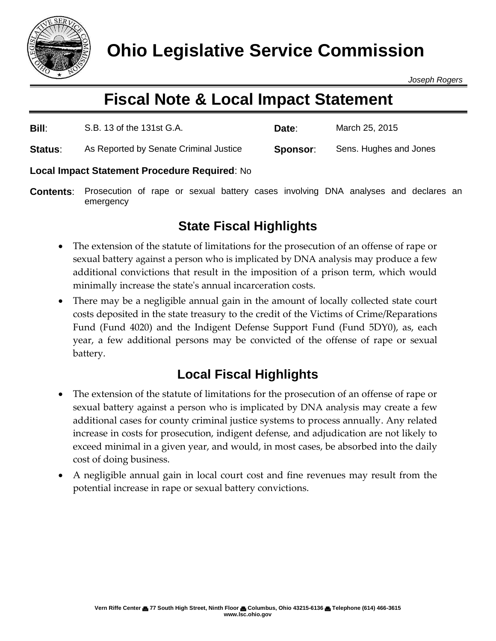

*Joseph Rogers*

# **Fiscal Note & Local Impact Statement**

| Bill:   | S.B. 13 of the 131st G.A.              | Date:    | March 25, 2015         |
|---------|----------------------------------------|----------|------------------------|
| Status: | As Reported by Senate Criminal Justice | Sponsor: | Sens. Hughes and Jones |

### **Local Impact Statement Procedure Required**: No

**Contents**: Prosecution of rape or sexual battery cases involving DNA analyses and declares an emergency

## **State Fiscal Highlights**

- The extension of the statute of limitations for the prosecution of an offense of rape or sexual battery against a person who is implicated by DNA analysis may produce a few additional convictions that result in the imposition of a prison term, which would minimally increase the state's annual incarceration costs.
- There may be a negligible annual gain in the amount of locally collected state court costs deposited in the state treasury to the credit of the Victims of Crime/Reparations Fund (Fund 4020) and the Indigent Defense Support Fund (Fund 5DY0), as, each year, a few additional persons may be convicted of the offense of rape or sexual battery.

## **Local Fiscal Highlights**

- The extension of the statute of limitations for the prosecution of an offense of rape or sexual battery against a person who is implicated by DNA analysis may create a few additional cases for county criminal justice systems to process annually. Any related increase in costs for prosecution, indigent defense, and adjudication are not likely to exceed minimal in a given year, and would, in most cases, be absorbed into the daily cost of doing business.
- A negligible annual gain in local court cost and fine revenues may result from the potential increase in rape or sexual battery convictions.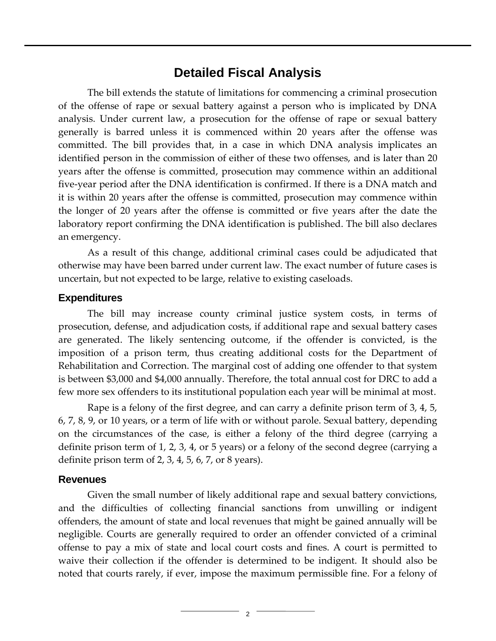### **Detailed Fiscal Analysis**

The bill extends the statute of limitations for commencing a criminal prosecution of the offense of rape or sexual battery against a person who is implicated by DNA analysis. Under current law, a prosecution for the offense of rape or sexual battery generally is barred unless it is commenced within 20 years after the offense was committed. The bill provides that, in a case in which DNA analysis implicates an identified person in the commission of either of these two offenses, and is later than 20 years after the offense is committed, prosecution may commence within an additional five-year period after the DNA identification is confirmed. If there is a DNA match and it is within 20 years after the offense is committed, prosecution may commence within the longer of 20 years after the offense is committed or five years after the date the laboratory report confirming the DNA identification is published. The bill also declares an emergency.

As a result of this change, additional criminal cases could be adjudicated that otherwise may have been barred under current law. The exact number of future cases is uncertain, but not expected to be large, relative to existing caseloads.

#### **Expenditures**

The bill may increase county criminal justice system costs, in terms of prosecution, defense, and adjudication costs, if additional rape and sexual battery cases are generated. The likely sentencing outcome, if the offender is convicted, is the imposition of a prison term, thus creating additional costs for the Department of Rehabilitation and Correction. The marginal cost of adding one offender to that system is between \$3,000 and \$4,000 annually. Therefore, the total annual cost for DRC to add a few more sex offenders to its institutional population each year will be minimal at most.

Rape is a felony of the first degree, and can carry a definite prison term of 3, 4, 5, 6, 7, 8, 9, or 10 years, or a term of life with or without parole. Sexual battery, depending on the circumstances of the case, is either a felony of the third degree (carrying a definite prison term of 1, 2, 3, 4, or 5 years) or a felony of the second degree (carrying a definite prison term of 2, 3, 4, 5, 6, 7, or 8 years).

#### **Revenues**

Given the small number of likely additional rape and sexual battery convictions, and the difficulties of collecting financial sanctions from unwilling or indigent offenders, the amount of state and local revenues that might be gained annually will be negligible. Courts are generally required to order an offender convicted of a criminal offense to pay a mix of state and local court costs and fines. A court is permitted to waive their collection if the offender is determined to be indigent. It should also be noted that courts rarely, if ever, impose the maximum permissible fine. For a felony of